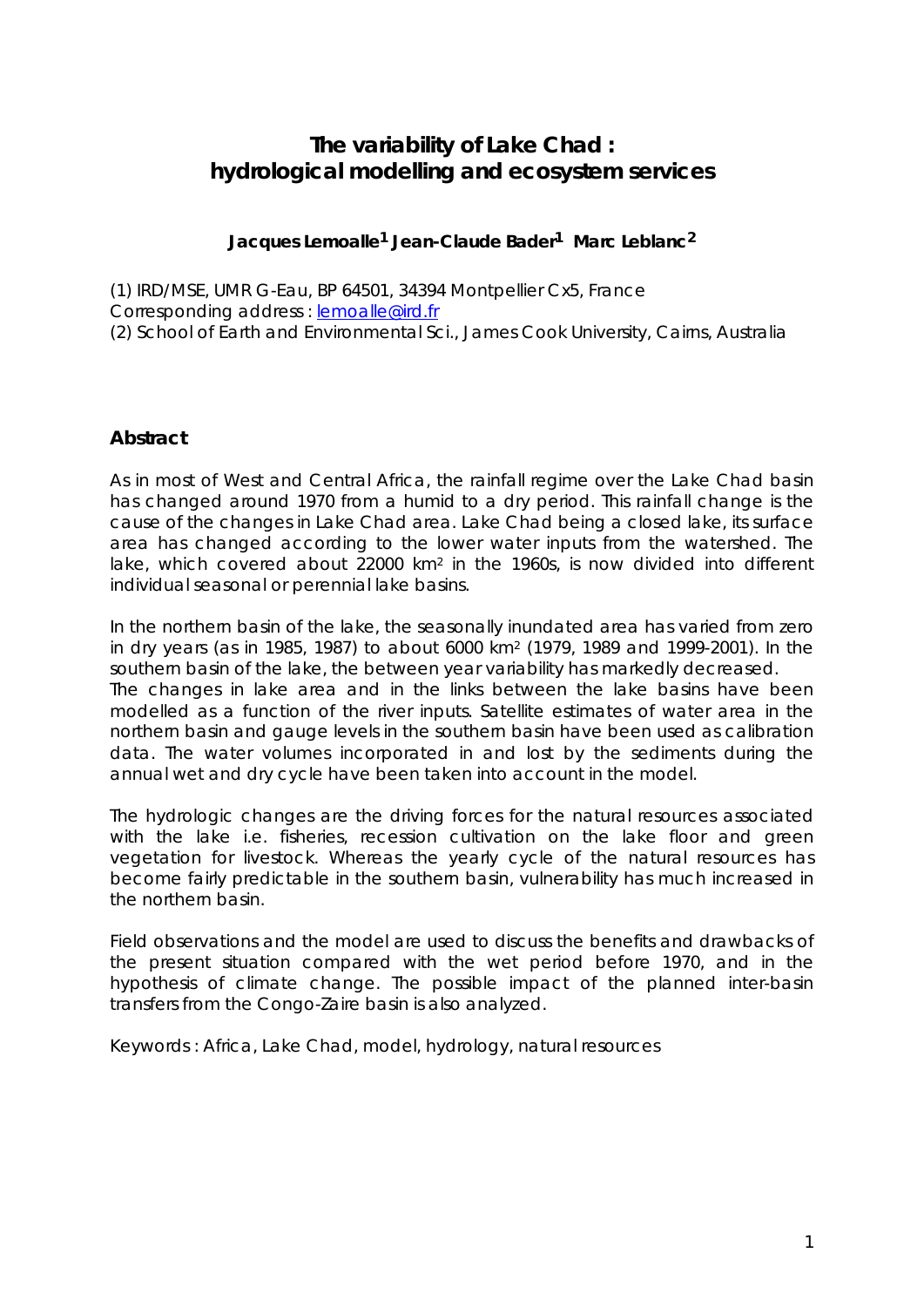# **The variability of Lake Chad : hydrological modelling and ecosystem services**

### **Jacques Lemoalle1 Jean-Claude Bader1 Marc Leblanc2**

(1) IRD/MSE, UMR G-Eau, BP 64501, 34394 Montpellier Cx5, France Corresponding address : lemoalle@ird.fr (2) School of Earth and Environmental Sci., James Cook University, Cairns, Australia

## **Abstract**

As in most of West and Central Africa, the rainfall regime over the Lake Chad basin has changed around 1970 from a humid to a dry period. This rainfall change is the cause of the changes in Lake Chad area. Lake Chad being a closed lake, its surface area has changed according to the lower water inputs from the watershed. The lake, which covered about 22000 km2 in the 1960s, is now divided into different individual seasonal or perennial lake basins.

In the northern basin of the lake, the seasonally inundated area has varied from zero in dry years (as in 1985, 1987) to about 6000 km2 (1979, 1989 and 1999-2001). In the southern basin of the lake, the between year variability has markedly decreased. The changes in lake area and in the links between the lake basins have been modelled as a function of the river inputs. Satellite estimates of water area in the northern basin and gauge levels in the southern basin have been used as calibration data. The water volumes incorporated in and lost by the sediments during the annual wet and dry cycle have been taken into account in the model.

The hydrologic changes are the driving forces for the natural resources associated with the lake i.e. fisheries, recession cultivation on the lake floor and green vegetation for livestock. Whereas the yearly cycle of the natural resources has become fairly predictable in the southern basin, vulnerability has much increased in the northern basin.

Field observations and the model are used to discuss the benefits and drawbacks of the present situation compared with the wet period before 1970, and in the hypothesis of climate change. The possible impact of the planned inter-basin transfers from the Congo-Zaire basin is also analyzed.

Keywords : Africa, Lake Chad, model, hydrology, natural resources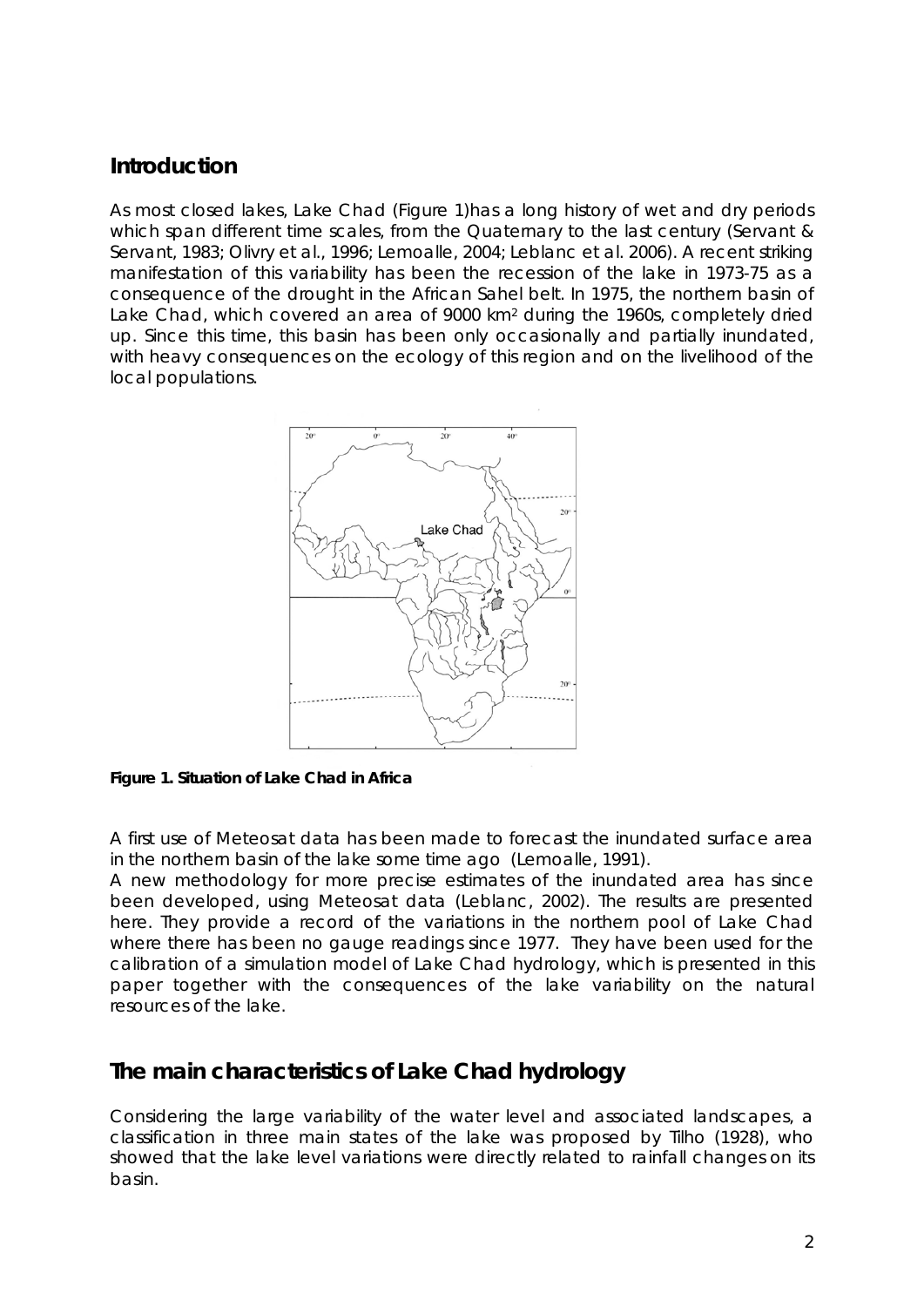# **Introduction**

As most closed lakes, Lake Chad (Figure 1)has a long history of wet and dry periods which span different time scales, from the Quaternary to the last century (Servant & Servant, 1983; Olivry et al., 1996; Lemoalle, 2004; Leblanc et al. 2006). A recent striking manifestation of this variability has been the recession of the lake in 1973-75 as a consequence of the drought in the African Sahel belt. In 1975, the northern basin of Lake Chad, which covered an area of 9000 km2 during the 1960s, completely dried up. Since this time, this basin has been only occasionally and partially inundated, with heavy consequences on the ecology of this region and on the livelihood of the local populations.



**Figure 1. Situation of Lake Chad in Africa** 

A first use of Meteosat data has been made to forecast the inundated surface area in the northern basin of the lake some time ago (Lemoalle, 1991).

A new methodology for more precise estimates of the inundated area has since been developed, using Meteosat data (Leblanc, 2002). The results are presented here. They provide a record of the variations in the northern pool of Lake Chad where there has been no gauge readings since 1977. They have been used for the calibration of a simulation model of Lake Chad hydrology, which is presented in this paper together with the consequences of the lake variability on the natural resources of the lake.

# **The main characteristics of Lake Chad hydrology**

Considering the large variability of the water level and associated landscapes, a classification in three main states of the lake was proposed by Tilho (1928), who showed that the lake level variations were directly related to rainfall changes on its basin.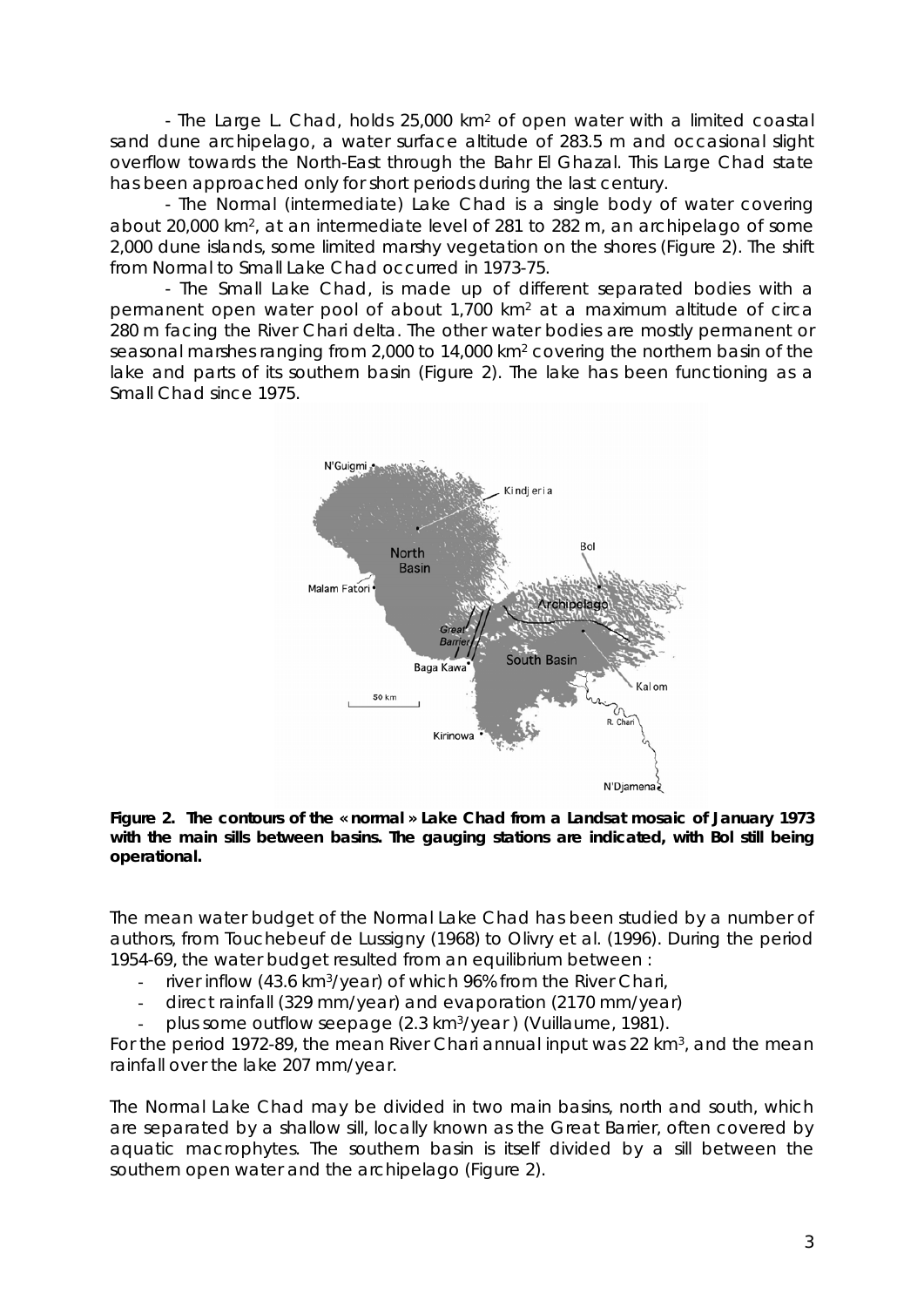- The Large L. Chad, holds 25,000 km2 of open water with a limited coastal sand dune archipelago, a water surface altitude of 283.5 m and occasional slight overflow towards the North-East through the Bahr El Ghazal. This Large Chad state has been approached only for short periods during the last century.

- The Normal (intermediate) Lake Chad is a single body of water covering about 20,000 km2, at an intermediate level of 281 to 282 m, an archipelago of some 2,000 dune islands, some limited marshy vegetation on the shores (Figure 2). The shift from Normal to Small Lake Chad occurred in 1973-75.

- The Small Lake Chad, is made up of different separated bodies with a permanent open water pool of about 1,700 km2 at a maximum altitude of circa 280 m facing the River Chari delta. The other water bodies are mostly permanent or seasonal marshes ranging from 2,000 to 14,000 km2 covering the northern basin of the lake and parts of its southern basin (Figure 2). The lake has been functioning as a Small Chad since 1975.



**Figure 2. The contours of the « normal » Lake Chad from a Landsat mosaic of January 1973 with the main sills between basins. The gauging stations are indicated, with Bol still being operational.** 

The mean water budget of the Normal Lake Chad has been studied by a number of authors, from Touchebeuf de Lussigny (1968) to Olivry et al. (1996). During the period 1954-69, the water budget resulted from an equilibrium between :

- river inflow (43.6 km<sup>3</sup>/year) of which 96% from the River Chari,
- direct rainfall (329 mm/year) and evaporation (2170 mm/year)
- plus some outflow seepage (2.3 km<sup>3</sup>/year) (Vuillaume, 1981).

For the period 1972-89, the mean River Chari annual input was 22 km<sup>3</sup>, and the mean rainfall over the lake 207 mm/year.

The Normal Lake Chad may be divided in two main basins, north and south, which are separated by a shallow sill, locally known as the Great Barrier, often covered by aquatic macrophytes. The southern basin is itself divided by a sill between the southern open water and the archipelago (Figure 2).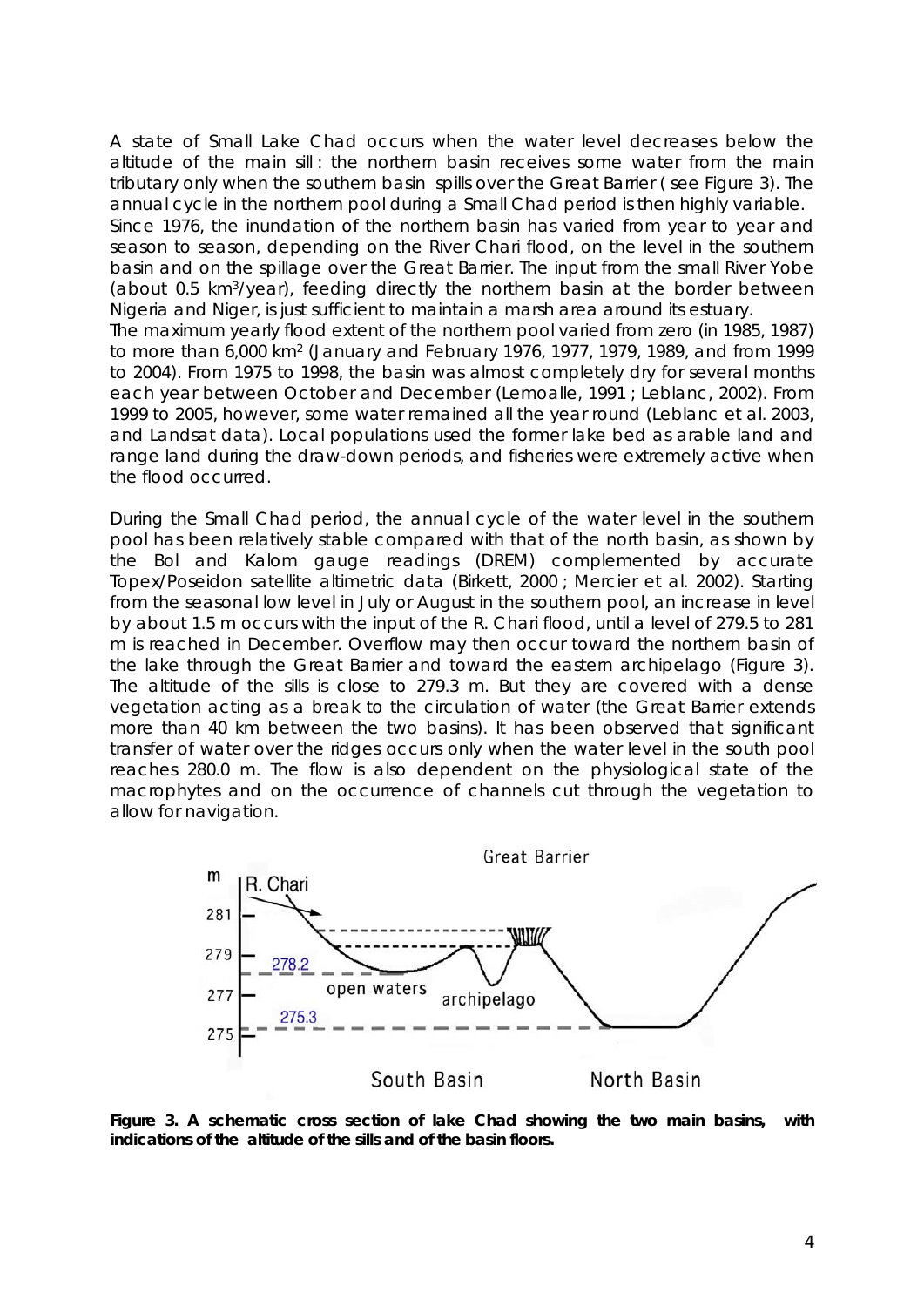A state of Small Lake Chad occurs when the water level decreases below the altitude of the main sill : the northern basin receives some water from the main tributary only when the southern basin spills over the Great Barrier ( see Figure 3). The annual cycle in the northern pool during a Small Chad period is then highly variable. Since 1976, the inundation of the northern basin has varied from year to year and season to season, depending on the River Chari flood, on the level in the southern basin and on the spillage over the Great Barrier. The input from the small River Yobe (about 0.5 km3/year), feeding directly the northern basin at the border between Nigeria and Niger, is just sufficient to maintain a marsh area around its estuary. The maximum yearly flood extent of the northern pool varied from zero (in 1985, 1987) to more than 6,000 km2 (January and February 1976, 1977, 1979, 1989, and from 1999 to 2004). From 1975 to 1998, the basin was almost completely dry for several months each year between October and December (Lemoalle, 1991 ; Leblanc, 2002). From 1999 to 2005, however, some water remained all the year round (Leblanc et al. 2003,

and Landsat data). Local populations used the former lake bed as arable land and range land during the draw-down periods, and fisheries were extremely active when the flood occurred.

During the Small Chad period, the annual cycle of the water level in the southern pool has been relatively stable compared with that of the north basin, as shown by the Bol and Kalom gauge readings (DREM) complemented by accurate Topex/Poseidon satellite altimetric data (Birkett, 2000 ; Mercier et al. 2002). Starting from the seasonal low level in July or August in the southern pool, an increase in level by about 1.5 m occurs with the input of the R. Chari flood, until a level of 279.5 to 281 m is reached in December. Overflow may then occur toward the northern basin of the lake through the Great Barrier and toward the eastern archipelago (Figure 3). The altitude of the sills is close to 279.3 m*.* But they are covered with a dense vegetation acting as a break to the circulation of water (the Great Barrier extends more than 40 km between the two basins). It has been observed that significant transfer of water over the ridges occurs only when the water level in the south pool reaches 280.0 m. The flow is also dependent on the physiological state of the macrophytes and on the occurrence of channels cut through the vegetation to allow for navigation.



**Figure 3. A schematic cross section of lake Chad showing the two main basins, with indications of the altitude of the sills and of the basin floors.**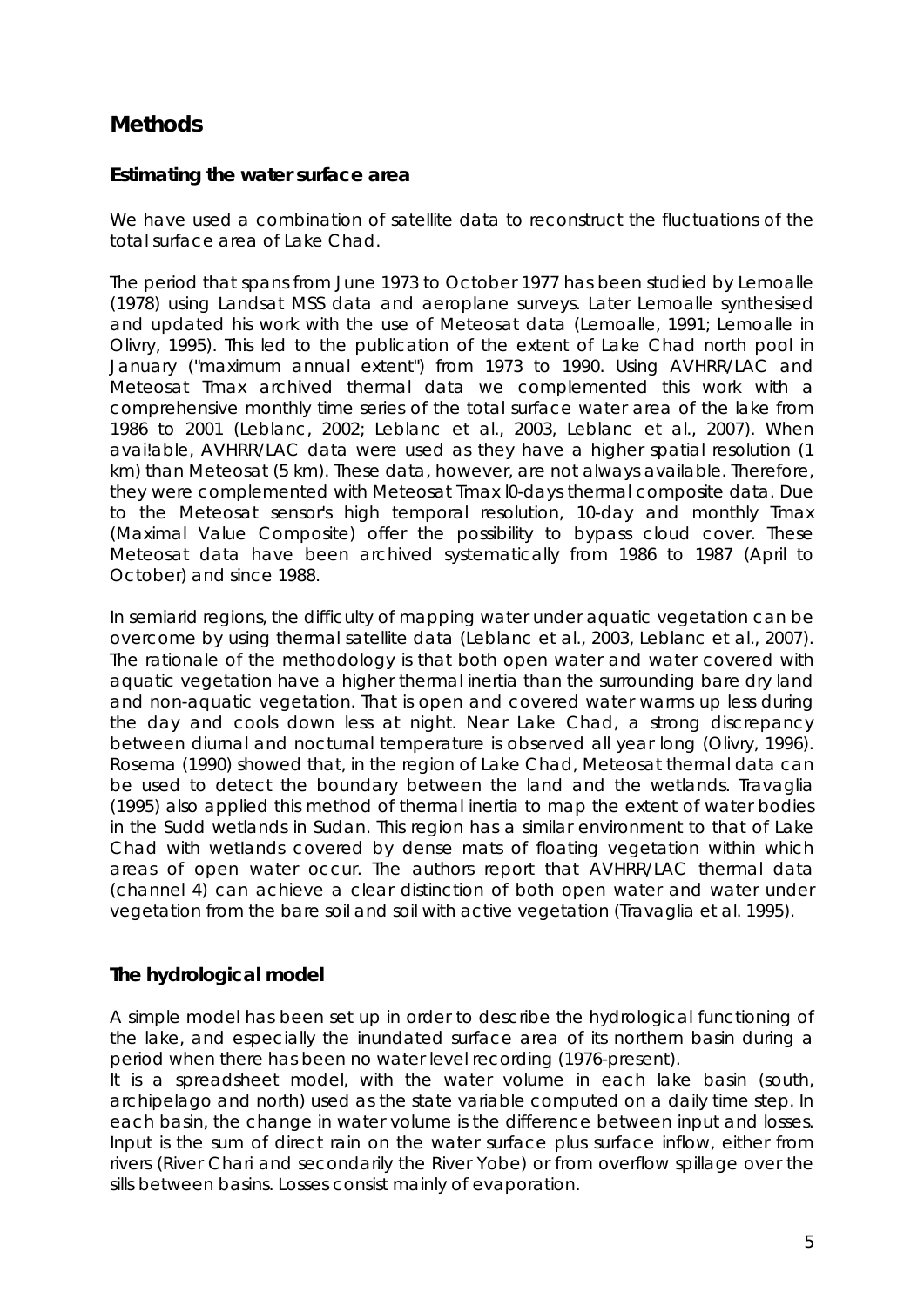# **Methods**

## **Estimating the water surface area**

We have used a combination of satellite data to reconstruct the fluctuations of the total surface area of Lake Chad.

The period that spans from June 1973 to October 1977 has been studied by Lemoalle (1978) using Landsat MSS data and aeroplane surveys. Later Lemoalle synthesised and updated his work with the use of Meteosat data (Lemoalle, 1991; Lemoalle in Olivry, 1995). This led to the publication of the extent of Lake Chad north pool in January ("maximum annual extent") from 1973 to 1990. Using AVHRR/LAC and Meteosat Tmax archived thermal data we complemented this work with a comprehensive monthly time series of the total surface water area of the lake from 1986 to 2001 (Leblanc, 2002; Leblanc et al., 2003, Leblanc et al., 2007). When avai!able, AVHRR/LAC data were used as they have a higher spatial resolution (1 km) than Meteosat (5 km). These data, however, are not always available. Therefore, they were complemented with Meteosat Tmax l0-days thermal composite data. Due to the Meteosat sensor's high temporal resolution, 10-day and monthly Tmax (Maximal Value Composite) offer the possibility to bypass cloud cover. These Meteosat data have been archived systematically from 1986 to 1987 (April to October) and since 1988.

In semiarid regions, the difficulty of mapping water under aquatic vegetation can be overcome by using thermal satellite data (Leblanc et al., 2003, Leblanc et al., 2007). The rationale of the methodology is that both open water and water covered with aquatic vegetation have a higher thermal inertia than the surrounding bare dry land and non-aquatic vegetation. That is open and covered water warms up less during the day and cools down less at night. Near Lake Chad, a strong discrepancy between diurnal and nocturnal temperature is observed all year long (Olivry, 1996). Rosema (1990) showed that, in the region of Lake Chad, Meteosat thermal data can be used to detect the boundary between the land and the wetlands. Travaglia (1995) also applied this method of thermal inertia to map the extent of water bodies in the Sudd wetlands in Sudan. This region has a similar environment to that of Lake Chad with wetIands covered by dense mats of floating vegetation within which areas of open water occur. The authors report that AVHRR/LAC thermal data (channel 4) can achieve a clear distinction of both open water and water under vegetation from the bare soil and soil with active vegetation (Travaglia et al. 1995).

## **The hydrological model**

A simple model has been set up in order to describe the hydrological functioning of the lake, and especially the inundated surface area of its northern basin during a period when there has been no water level recording (1976-present).

It is a spreadsheet model, with the water volume in each lake basin (south, archipelago and north) used as the state variable computed on a daily time step. In each basin, the change in water volume is the difference between input and losses. Input is the sum of direct rain on the water surface plus surface inflow, either from rivers (River Chari and secondarily the River Yobe) or from overflow spillage over the sills between basins. Losses consist mainly of evaporation.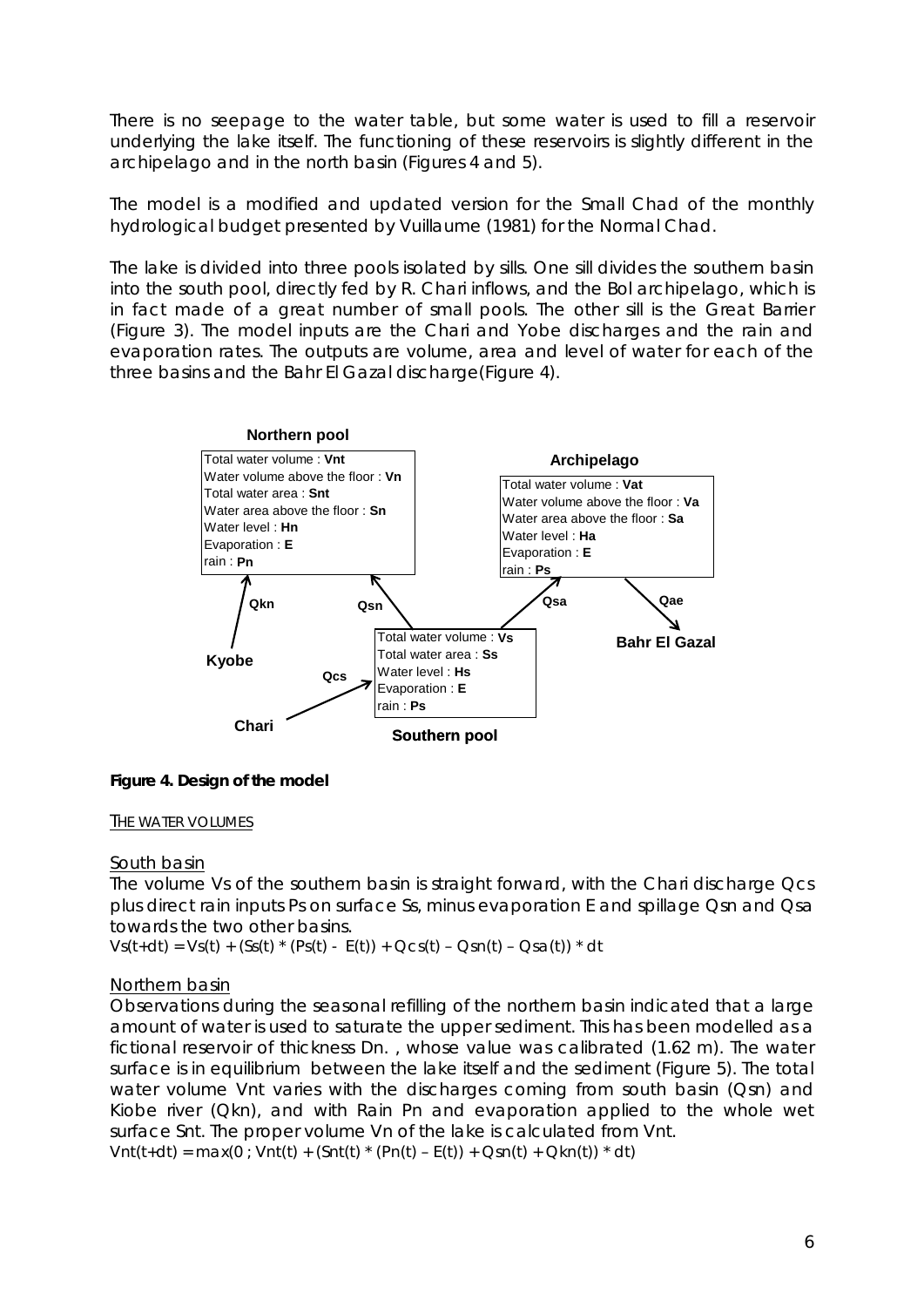There is no seepage to the water table, but some water is used to fill a reservoir underlying the lake itself. The functioning of these reservoirs is slightly different in the archipelago and in the north basin (Figures 4 and 5).

The model is a modified and updated version for the Small Chad of the monthly hydrological budget presented by Vuillaume (1981) for the Normal Chad.

The lake is divided into three pools isolated by sills. One sill divides the southern basin into the south pool, directly fed by R. Chari inflows, and the Bol archipelago, which is in fact made of a great number of small pools. The other sill is the Great Barrier (Figure 3). The model inputs are the Chari and Yobe discharges and the rain and evaporation rates. The outputs are volume, area and level of water for each of the three basins and the Bahr El Gazal discharge(Figure 4).



**Figure 4. Design of the model** 

#### THE WATER VOLUMES

### South basin

The volume Vs of the southern basin is straight forward, with the Chari discharge Qcs plus direct rain inputs Ps on surface Ss, minus evaporation E and spillage Qsn and Qsa towards the two other basins.

 $Vs(t+dt) = Vs(t) + (Ss(t) * (Ps(t) - E(t)) + Qcs(t) - Qsn(t) - Qsa(t)) * dt$ 

### Northern basin

Observations during the seasonal refilling of the northern basin indicated that a large amount of water is used to saturate the upper sediment. This has been modelled as a fictional reservoir of thickness Dn. , whose value was calibrated (1.62 m). The water surface is in equilibrium between the lake itself and the sediment (Figure 5). The total water volume Vnt varies with the discharges coming from south basin (Qsn) and Kiobe river (Qkn), and with Rain Pn and evaporation applied to the whole wet surface Snt. The proper volume Vn of the lake is calculated from Vnt.

 $Vnt(t+dt) = max(0; Vnt(t) + (Snt(t) * (Pn(t) - E(t)) + Qsn(t) + Qkn(t)) * dt)$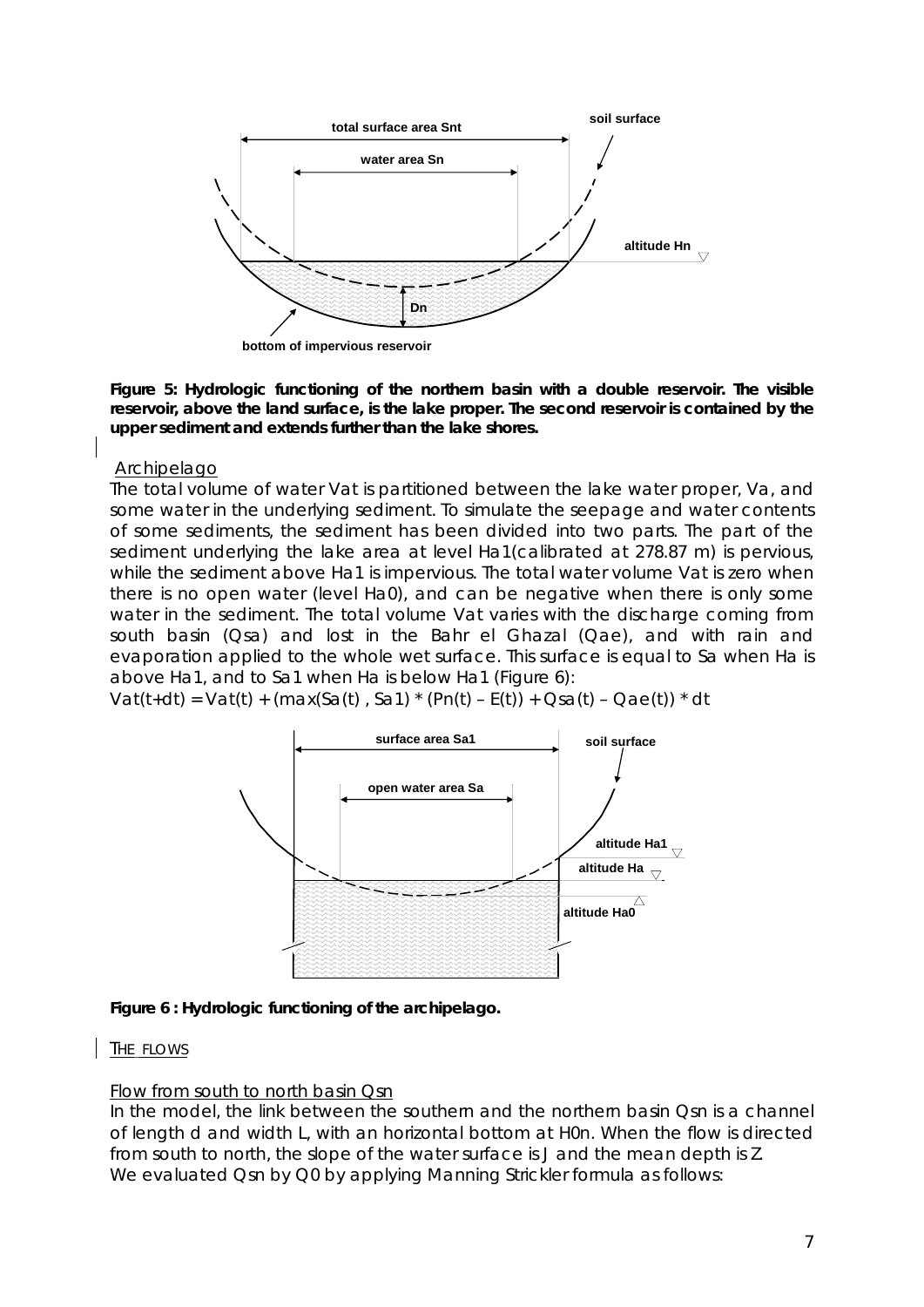

**Figure 5: Hydrologic functioning of the northern basin with a double reservoir. The visible reservoir, above the land surface, is the lake proper. The second reservoir is contained by the upper sediment and extends further than the lake shores.** 

#### Archipelago

The total volume of water Vat is partitioned between the lake water proper, Va, and some water in the underlying sediment. To simulate the seepage and water contents of some sediments, the sediment has been divided into two parts. The part of the sediment underlying the lake area at level Ha1(calibrated at 278.87 m) is pervious, while the sediment above Ha1 is impervious. The total water volume Vat is zero when there is no open water (level Ha0), and can be negative when there is only some water in the sediment. The total volume Vat varies with the discharge coming from south basin (Qsa) and lost in the Bahr el Ghazal (Qae), and with rain and evaporation applied to the whole wet surface. This surface is equal to Sa when Ha is above Ha1, and to Sa1 when Ha is below Ha1 (Figure 6):

Vat(t+dt) = Vat(t) + (max(Sa(t), Sa1) \* (Pn(t) – E(t)) + Qsa(t) – Qae(t)) \* dt



**Figure 6 : Hydrologic functioning of the archipelago.** 

### THE FLOWS

### Flow from south to north basin Qsn

In the model, the link between the southern and the northern basin Qsn is a channel of length d and width L, with an horizontal bottom at H0n. When the flow is directed from south to north, the slope of the water surface is J and the mean depth is Z. We evaluated Qsn by Q0 by applying Manning Strickler formula as follows: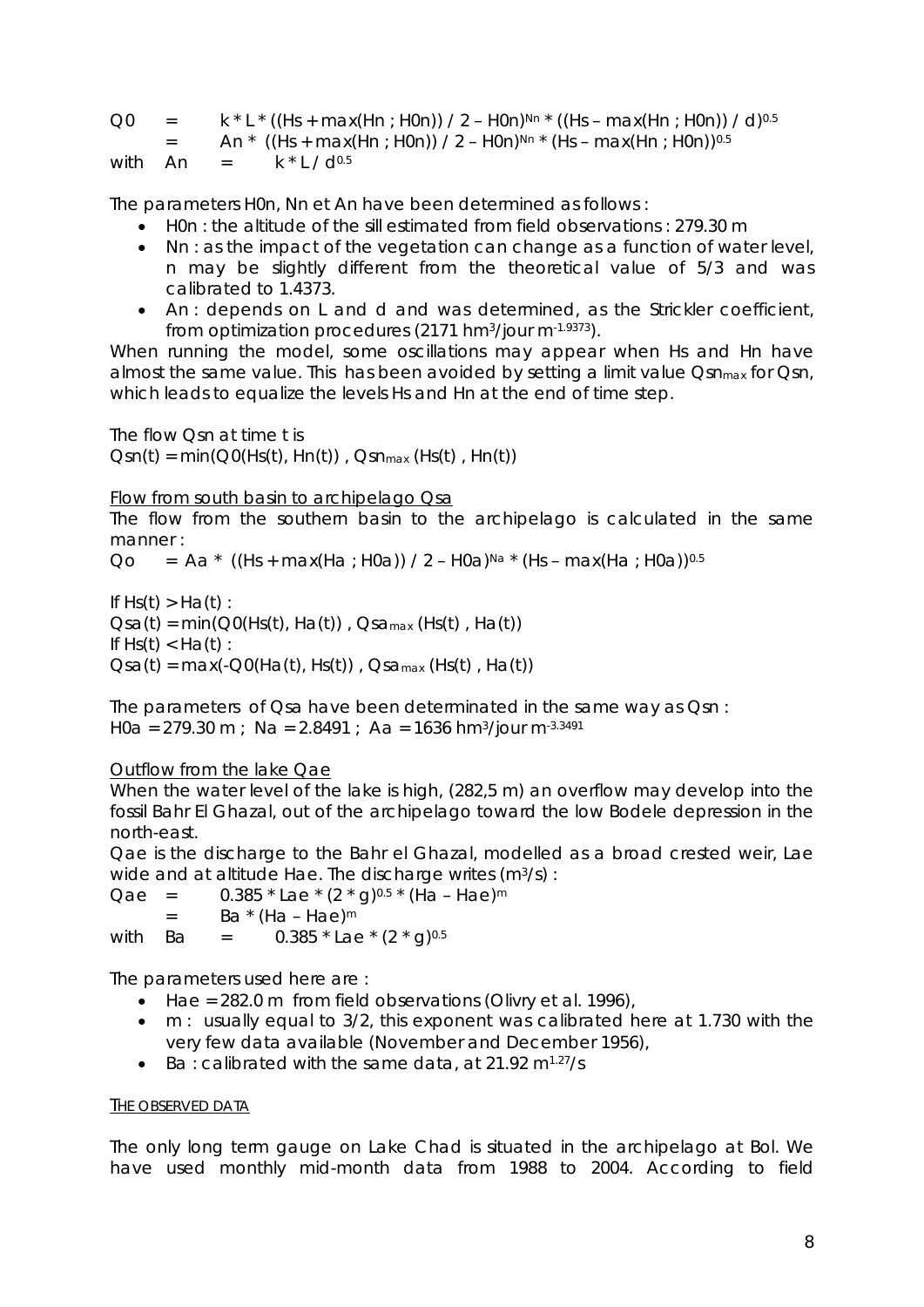| Q <sub>0</sub> | $\equiv$ 100 $\pm$ | $k * L * ((Hs + max(Hn : H0n)) / 2 - H0n)^{Nn} * ((Hs - max(Hn : H0n)) / d)^{0.5}$        |
|----------------|--------------------|-------------------------------------------------------------------------------------------|
|                | $\equiv$ 100 $\pm$ | An * ((Hs + max(Hn ; H0n)) / 2 – H0n) <sup>Nn *</sup> (Hs – max(Hn ; H0n)) <sup>0.5</sup> |
|                |                    | with $An = k * L/d^{0.5}$                                                                 |

The parameters H0n, Nn et An have been determined as follows :

- H0n : the altitude of the sill estimated from field observations : 279.30 m
- Nn : as the impact of the vegetation can change as a function of water level, n may be slightly different from the theoretical value of 5/3 and was calibrated to 1.4373.
- An : depends on L and d and was determined, as the Strickler coefficient, from optimization procedures (2171 hm $\frac{3}{10}$ ur m $\frac{1.9373}{100}$ .

When running the model, some oscillations may appear when Hs and Hn have almost the same value. This has been avoided by setting a limit value Osn<sub>max</sub> for Osn, which leads to equalize the levels Hs and Hn at the end of time step.

The flow Qsn at time t is  $Qsn(t) = min(QO(Hs(t), Hn(t))$ ,  $Qsn_{max}(Hs(t), Hn(t))$ 

Flow from south basin to archipelago Qsa

The flow from the southern basin to the archipelago is calculated in the same manner :

Qo = Aa \*  $((Hs + max(Ha : H0a)) / 2 - H0a)^{Na}$  \*  $(Hs - max(Ha : H0a))^{0.5}$ 

If  $Hs(t) > Ha(t)$ :  $Osa(t) = min(OO(Hs(t), Ha(t))$ ,  $Osa_{max}(Hs(t), Ha(t))$ If  $Hs(t) < Ha(t)$ :  $\text{Osa}(t) = \text{max}(-\text{O0}(\text{Ha}(t), \text{Hs}(t))$ ,  $\text{Osa}_{\text{max}}(\text{Hs}(t), \text{Ha}(t))$ 

The parameters of Qsa have been determinated in the same way as Qsn : H0a = 279.30 m ; Na = 2.8491 ; Aa = 1636 hm<sup>3</sup>/jour m<sup>-3.3491</sup>

### Outflow from the lake Qae

When the water level of the lake is high, (282,5 m) an overflow may develop into the fossil Bahr El Ghazal, out of the archipelago toward the low Bodele depression in the north-east.

Qae is the discharge to the Bahr el Ghazal, modelled as a broad crested weir, Lae wide and at altitude Hae. The discharge writes (m<sup>3</sup>/s) :

Qae =  $0.385 *$  Lae  $*(2 * q)^{0.5} *$  (Ha – Hae)<sup>m</sup>  $=$  Ba  $*(Ha - Hae)^m$ with Ba =  $0.385 *$  Lae  $*(2 * g)^{0.5}$ 

The parameters used here are :

- Hae = 282.0 m from field observations (Olivry et al. 1996),
- m : usually equal to 3/2, this exponent was calibrated here at 1.730 with the very few data available (November and December 1956),
- Ba : calibrated with the same data, at  $21.92 \text{ m}^{1.27}/\text{s}$

#### THE OBSERVED DATA

The only long term gauge on Lake Chad is situated in the archipelago at Bol. We have used monthly mid-month data from 1988 to 2004. According to field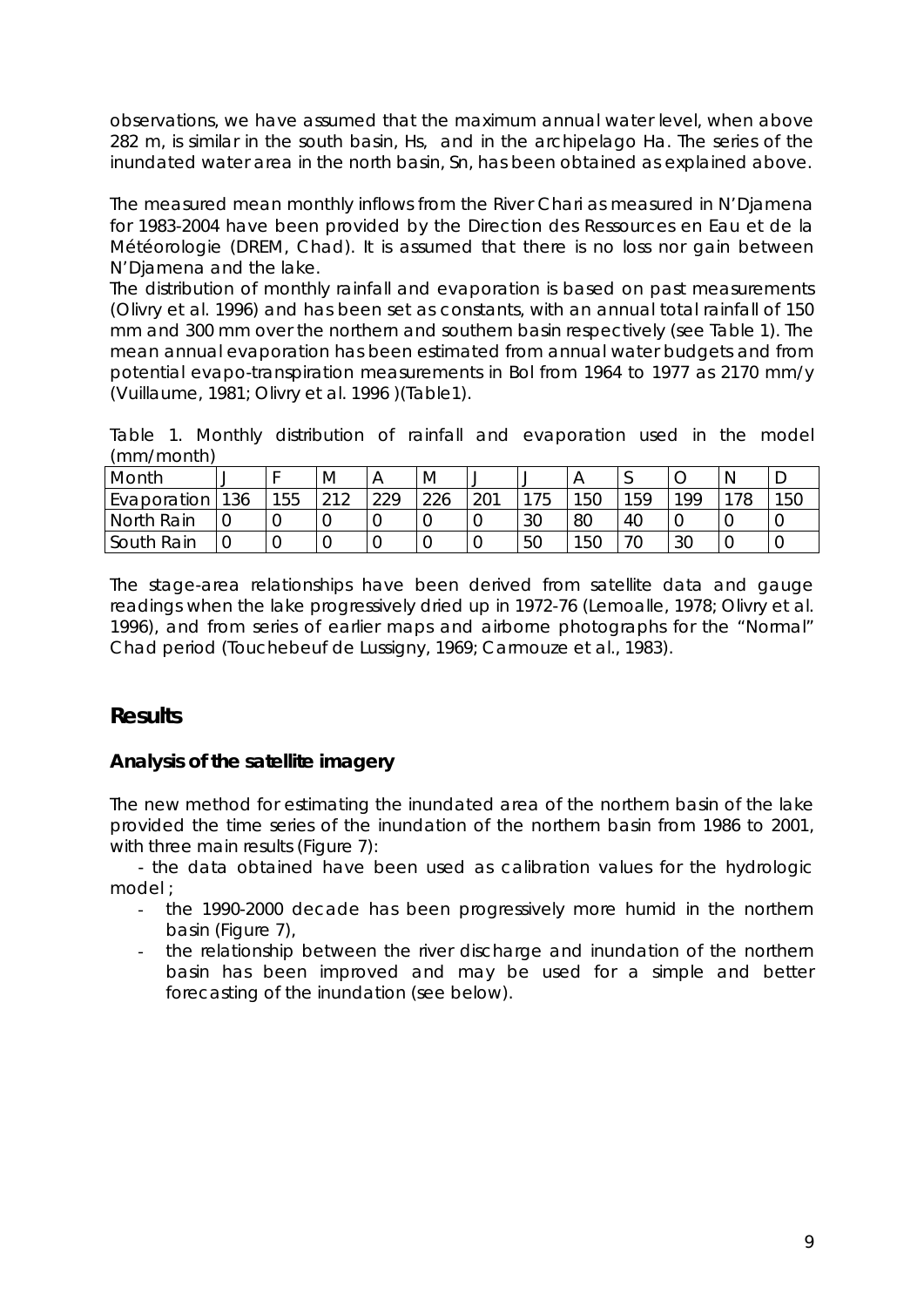observations, we have assumed that the maximum annual water level, when above 282 m, is similar in the south basin, Hs, and in the archipelago Ha. The series of the inundated water area in the north basin, Sn, has been obtained as explained above.

The measured mean monthly inflows from the River Chari as measured in N'Djamena for 1983-2004 have been provided by the Direction des Ressources en Eau et de la Météorologie (DREM, Chad). It is assumed that there is no loss nor gain between N'Djamena and the lake.

The distribution of monthly rainfall and evaporation is based on past measurements (Olivry et al. 1996) and has been set as constants, with an annual total rainfall of 150 mm and 300 mm over the northern and southern basin respectively (see Table 1). The mean annual evaporation has been estimated from annual water budgets and from potential evapo-transpiration measurements in Bol from 1964 to 1977 as 2170 mm/y (Vuillaume, 1981; Olivry et al. 1996 )(Table1).

Table 1. Monthly distribution of rainfall and evaporation used in the model (mm/month)

| Month       | ັ   |     | M                     | Α   | M   | ◡   |    |     | ◡   |                |     |     |
|-------------|-----|-----|-----------------------|-----|-----|-----|----|-----|-----|----------------|-----|-----|
| Evaporation | 136 | 155 | $\bigcap$ 1 $\bigcap$ | 220 | 226 | 201 | 75 | 150 | 159 | 199            | 178 | 150 |
| North Rain  |     |     |                       |     |     |     | 30 | 80  | 40  |                |     |     |
| South Rain  | 0   |     |                       |     |     |     | 50 | 15C |     | 3 <sup>C</sup> |     |     |

The stage-area relationships have been derived from satellite data and gauge readings when the lake progressively dried up in 1972-76 (Lemoalle, 1978; Olivry et al. 1996), and from series of earlier maps and airborne photographs for the "Normal" Chad period (Touchebeuf de Lussigny, 1969; Carmouze et al., 1983).

# **Results**

## **Analysis of the satellite imagery**

The new method for estimating the inundated area of the northern basin of the lake provided the time series of the inundation of the northern basin from 1986 to 2001, with three main results (Figure 7):

- the data obtained have been used as calibration values for the hydrologic model ;

- the 1990-2000 decade has been progressively more humid in the northern basin (Figure 7),
- the relationship between the river discharge and inundation of the northern basin has been improved and may be used for a simple and better forecasting of the inundation (see below).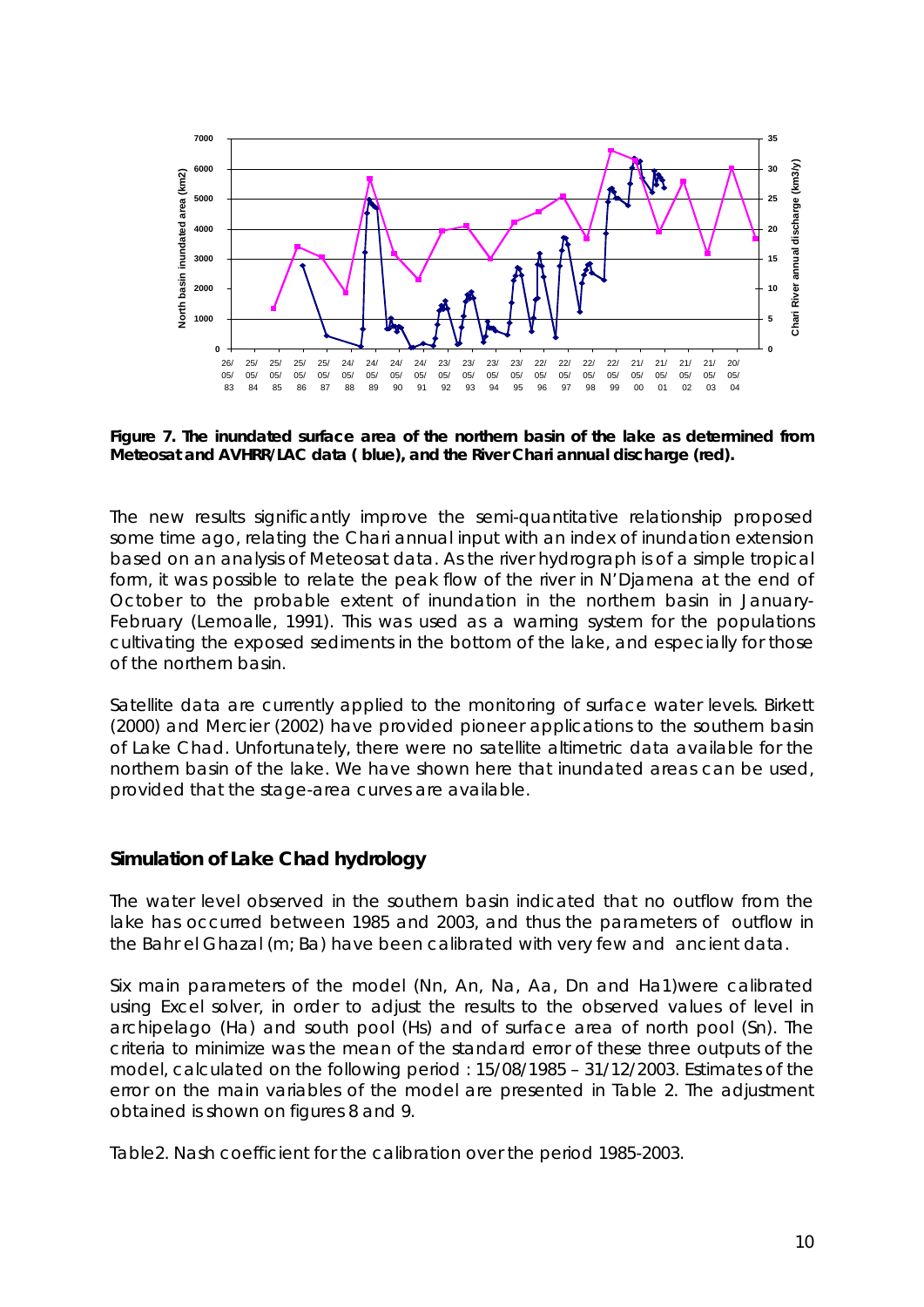

**Figure 7. The inundated surface area of the northern basin of the lake as determined from Meteosat and AVHRR/LAC data ( blue), and the River Chari annual discharge (red).** 

The new results significantly improve the semi-quantitative relationship proposed some time ago, relating the Chari annual input with an index of inundation extension based on an analysis of Meteosat data. As the river hydrograph is of a simple tropical form, it was possible to relate the peak flow of the river in N'Djamena at the end of October to the probable extent of inundation in the northern basin in January-February (Lemoalle, 1991). This was used as a warning system for the populations cultivating the exposed sediments in the bottom of the lake, and especially for those of the northern basin.

Satellite data are currently applied to the monitoring of surface water levels. Birkett (2000) and Mercier (2002) have provided pioneer applications to the southern basin of Lake Chad. Unfortunately, there were no satellite altimetric data available for the northern basin of the lake. We have shown here that inundated areas can be used, provided that the stage-area curves are available.

### **Simulation of Lake Chad hydrology**

The water level observed in the southern basin indicated that no outflow from the lake has occurred between 1985 and 2003, and thus the parameters of outflow in the Bahr el Ghazal (m; Ba) have been calibrated with very few and ancient data.

Six main parameters of the model (Nn, An, Na, Aa, Dn and Ha1)were calibrated using Excel solver, in order to adjust the results to the observed values of level in archipelago (Ha) and south pool (Hs) and of surface area of north pool (Sn). The criteria to minimize was the mean of the standard error of these three outputs of the model, calculated on the following period : 15/08/1985 – 31/12/2003. Estimates of the error on the main variables of the model are presented in Table 2. The adjustment obtained is shown on figures 8 and 9.

Table2. Nash coefficient for the calibration over the period 1985-2003.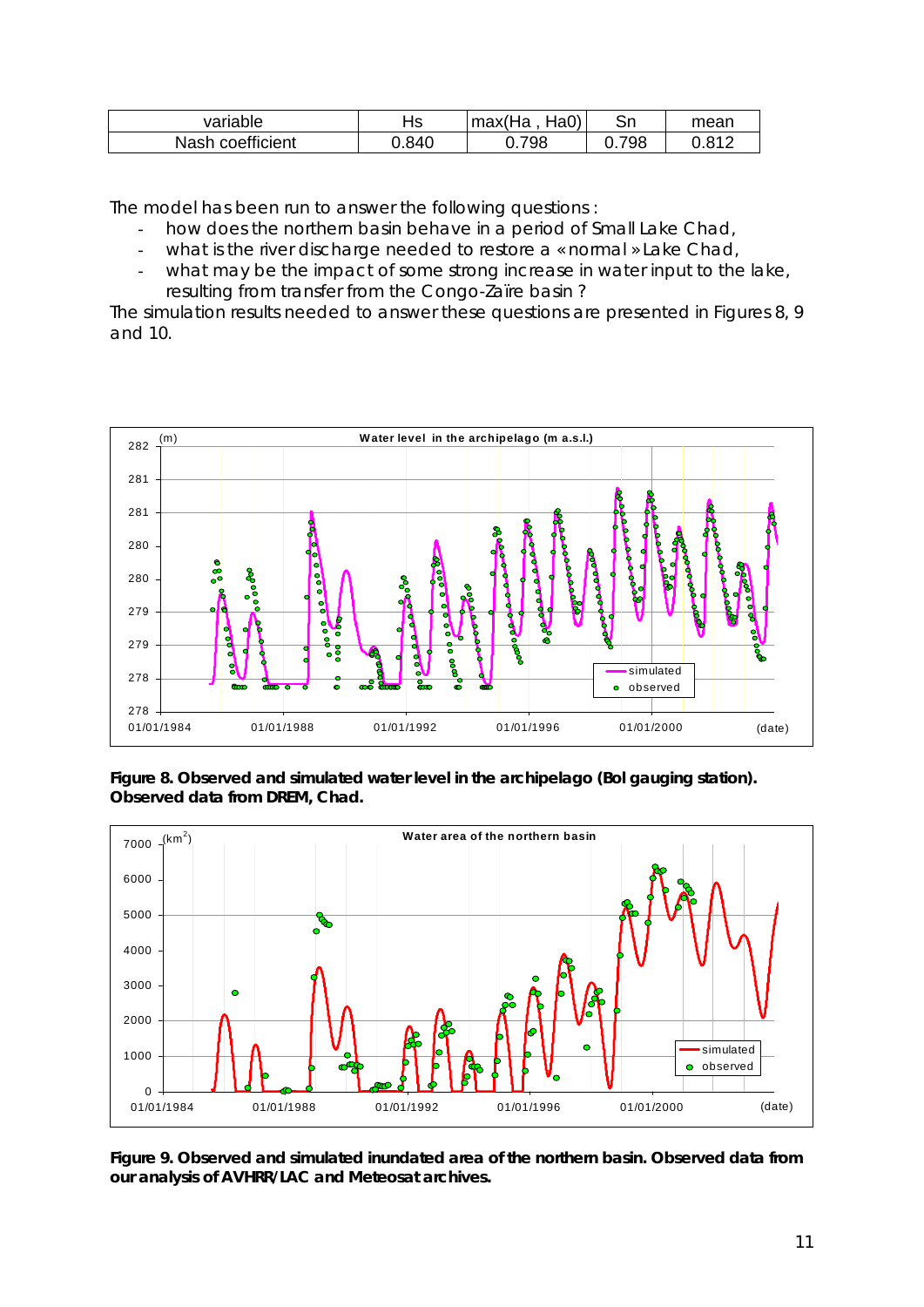| variable         | ے ل<br>. 15 | max(Ha<br>Ha0 | Sn  | mean  |
|------------------|-------------|---------------|-----|-------|
| Nash coefficient | 0.840       | 798           | 798 | 0.812 |

The model has been run to answer the following questions :

- how does the northern basin behave in a period of Small Lake Chad,
- what is the river discharge needed to restore a « normal » Lake Chad,
- what may be the impact of some strong increase in water input to the lake, resulting from transfer from the Congo-Zaïre basin ?

The simulation results needed to answer these questions are presented in Figures 8, 9 and 10.



**Figure 8. Observed and simulated water level in the archipelago (Bol gauging station). Observed data from DREM, Chad.** 



**Figure 9. Observed and simulated inundated area of the northern basin. Observed data from our analysis of AVHRR/LAC and Meteosat archives.**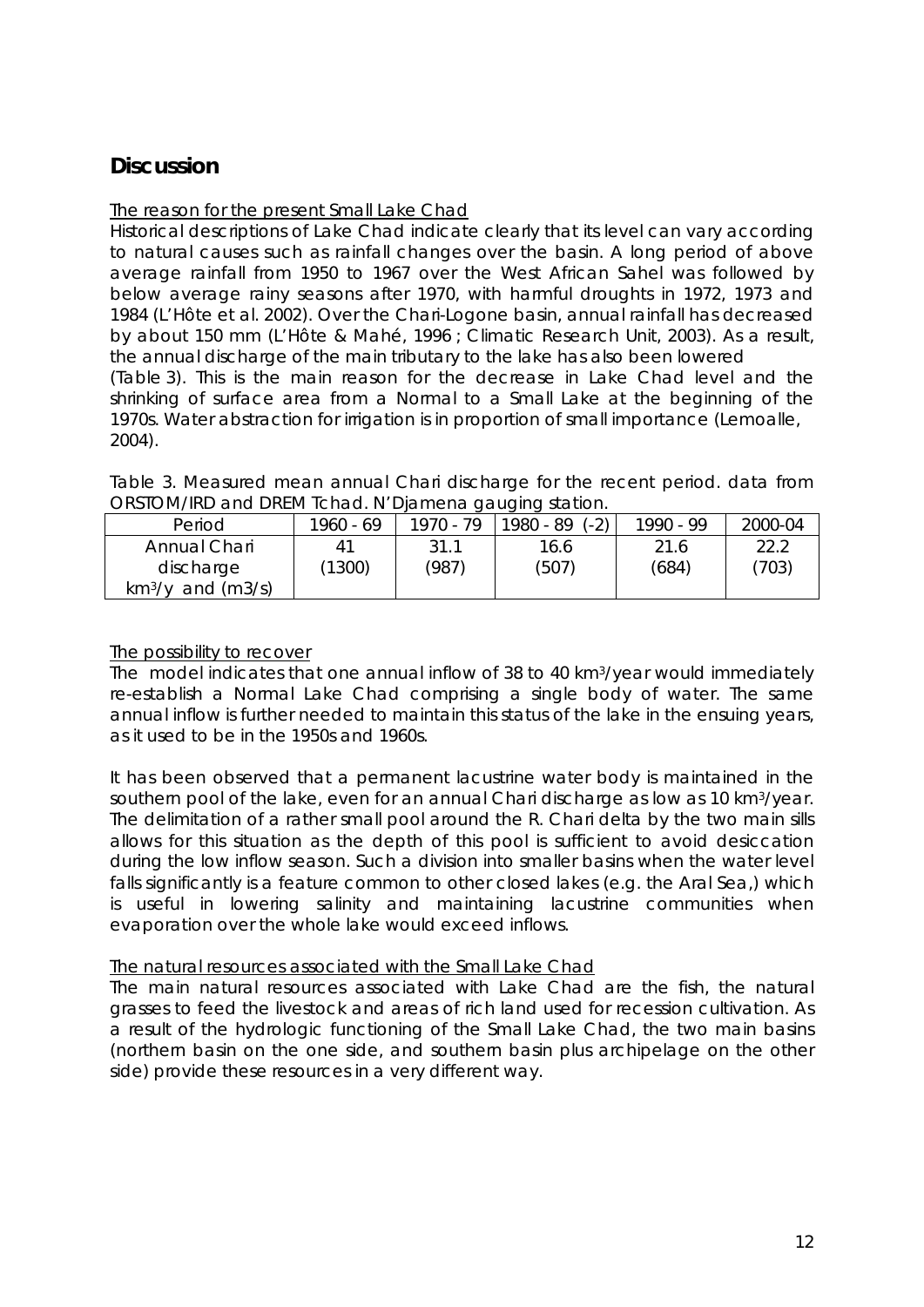# **Discussion**

#### The reason for the present Small Lake Chad

Historical descriptions of Lake Chad indicate clearly that its level can vary according to natural causes such as rainfall changes over the basin. A long period of above average rainfall from 1950 to 1967 over the West African Sahel was followed by below average rainy seasons after 1970, with harmful droughts in 1972, 1973 and 1984 (L'Hôte et al. 2002). Over the Chari-Logone basin, annual rainfall has decreased by about 150 mm (L'Hôte & Mahé, 1996 ; Climatic Research Unit, 2003). As a result, the annual discharge of the main tributary to the lake has also been lowered (Table 3). This is the main reason for the decrease in Lake Chad level and the shrinking of surface area from a Normal to a Small Lake at the beginning of the 1970s. Water abstraction for irrigation is in proportion of small importance (Lemoalle, 2004).

Table 3. Measured mean annual Chari discharge for the recent period. data from ORSTOM/IRD and DREM Tchad. N'Djamena gauging station.

| Period               | 1960 - 69 | $1970 - 79$ | $(-2)$<br>1980 - 89 | 1990 - 99 | 2000-04 |
|----------------------|-----------|-------------|---------------------|-----------|---------|
| Annual Chari         |           | 31.1        | 16.6                | 21.6      | 22.2    |
| discharge            | (1300)    | (987)       | (507)               | (684)     | (703)   |
| $km^3$ /y and (m3/s) |           |             |                     |           |         |

#### The possibility to recover

The model indicates that one annual inflow of 38 to 40 km3/year would immediately re-establish a Normal Lake Chad comprising a single body of water. The same annual inflow is further needed to maintain this status of the lake in the ensuing years, as it used to be in the 1950s and 1960s.

It has been observed that a permanent lacustrine water body is maintained in the southern pool of the lake, even for an annual Chari discharge as low as 10 km3/year. The delimitation of a rather small pool around the R. Chari delta by the two main sills allows for this situation as the depth of this pool is sufficient to avoid desiccation during the low inflow season. Such a division into smaller basins when the water level falls significantly is a feature common to other closed lakes (e.g. the Aral Sea,) which is useful in lowering salinity and maintaining lacustrine communities when evaporation over the whole lake would exceed inflows.

#### The natural resources associated with the Small Lake Chad

The main natural resources associated with Lake Chad are the fish, the natural grasses to feed the livestock and areas of rich land used for recession cultivation. As a result of the hydrologic functioning of the Small Lake Chad, the two main basins (northern basin on the one side, and southern basin plus archipelage on the other side) provide these resources in a very different way.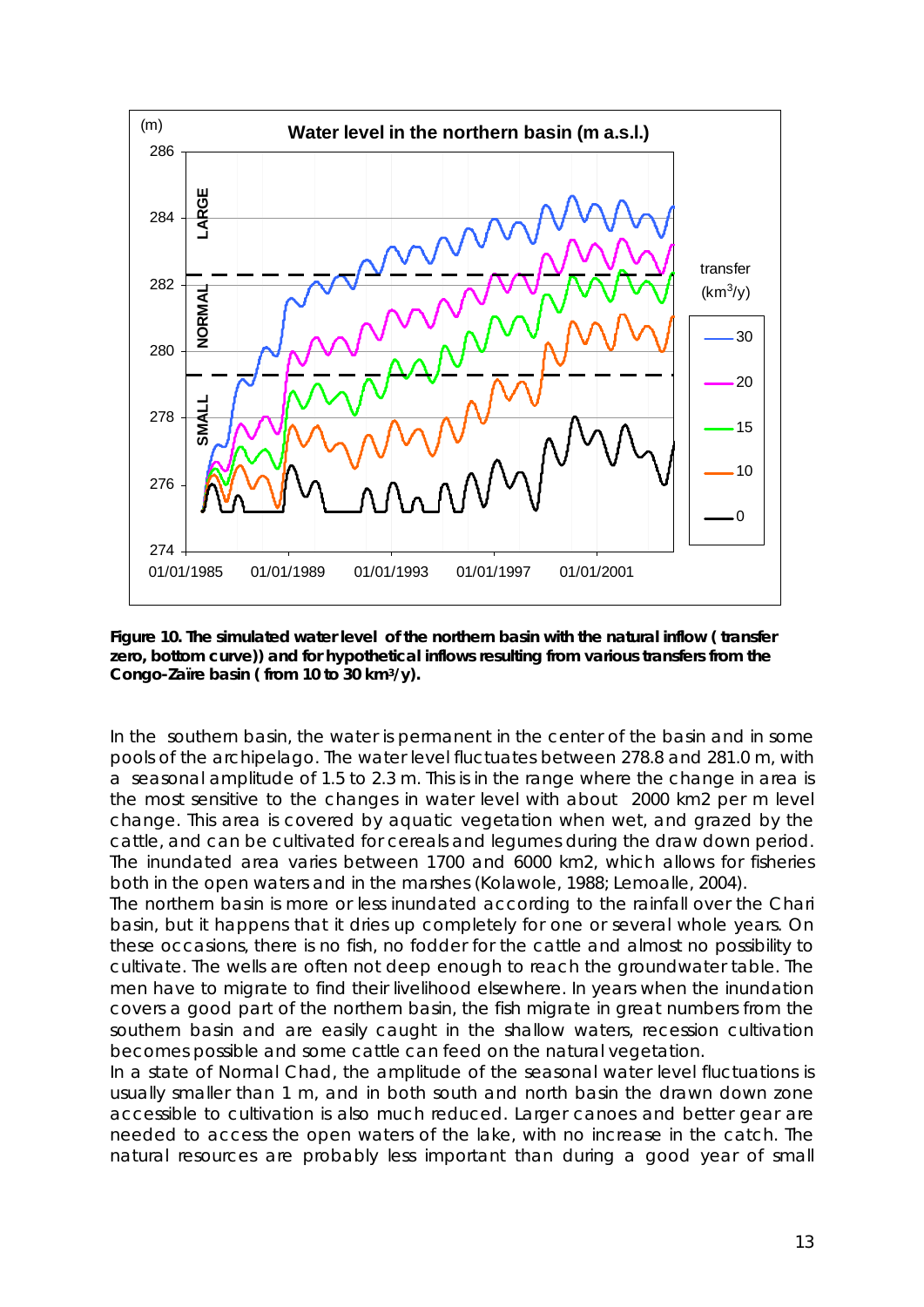

**Figure 10. The simulated water level of the northern basin with the natural inflow ( transfer zero, bottom curve)) and for hypothetical inflows resulting from various transfers from the Congo-Zaïre basin ( from 10 to 30 km3/y).** 

In the southern basin, the water is permanent in the center of the basin and in some pools of the archipelago. The water level fluctuates between 278.8 and 281.0 m, with a seasonal amplitude of 1.5 to 2.3 m. This is in the range where the change in area is the most sensitive to the changes in water level with about 2000 km2 per m level change. This area is covered by aquatic vegetation when wet, and grazed by the cattle, and can be cultivated for cereals and legumes during the draw down period. The inundated area varies between 1700 and 6000 km2, which allows for fisheries both in the open waters and in the marshes (Kolawole, 1988; Lemoalle, 2004).

The northern basin is more or less inundated according to the rainfall over the Chari basin, but it happens that it dries up completely for one or several whole years. On these occasions, there is no fish, no fodder for the cattle and almost no possibility to cultivate. The wells are often not deep enough to reach the groundwater table. The men have to migrate to find their livelihood elsewhere. In years when the inundation covers a good part of the northern basin, the fish migrate in great numbers from the southern basin and are easily caught in the shallow waters, recession cultivation becomes possible and some cattle can feed on the natural vegetation.

In a state of Normal Chad, the amplitude of the seasonal water level fluctuations is usually smaller than 1 m, and in both south and north basin the drawn down zone accessible to cultivation is also much reduced. Larger canoes and better gear are needed to access the open waters of the lake, with no increase in the catch. The natural resources are probably less important than during a good year of small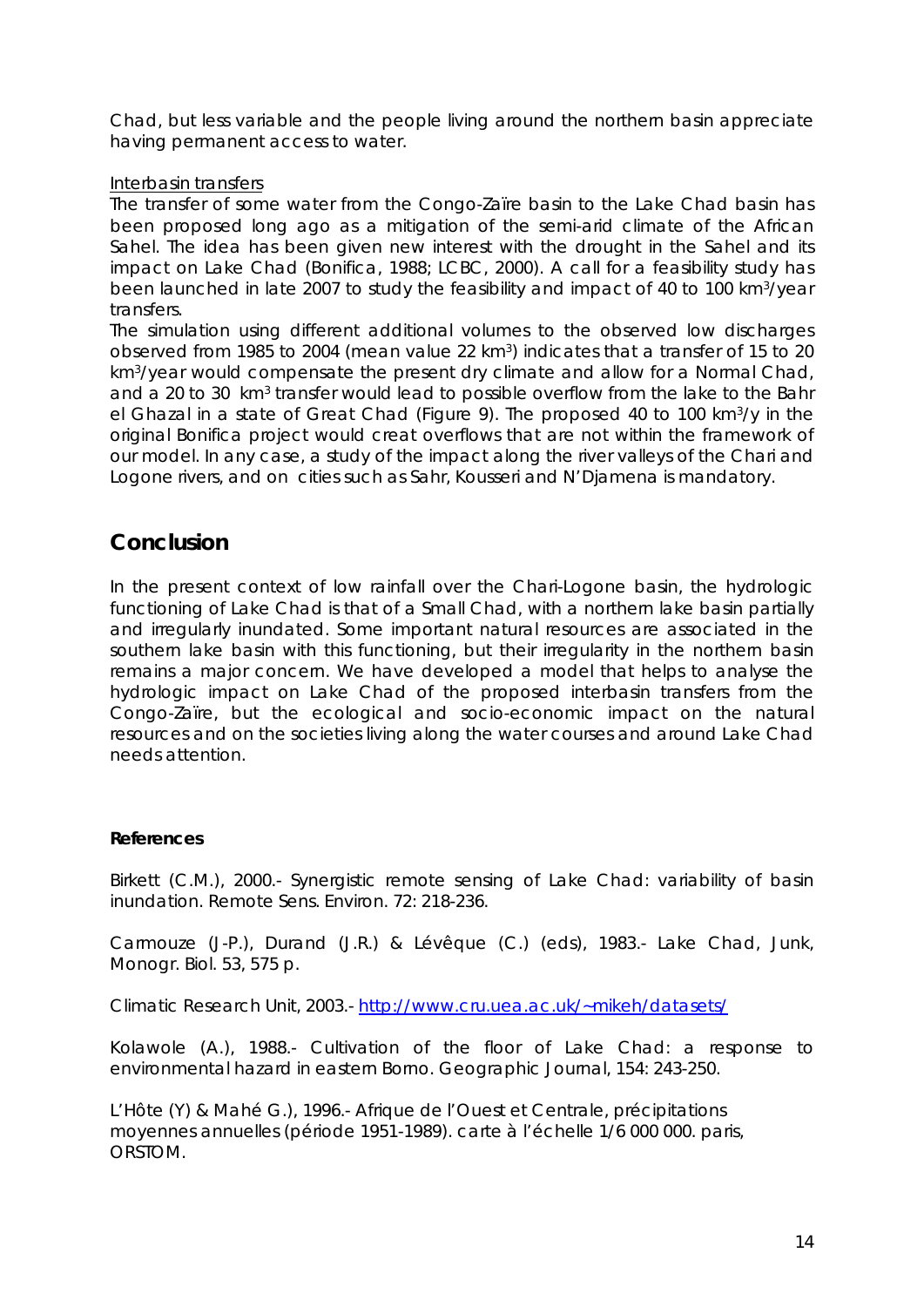Chad, but less variable and the people living around the northern basin appreciate having permanent access to water.

#### Interbasin transfers

The transfer of some water from the Congo-Zaïre basin to the Lake Chad basin has been proposed long ago as a mitigation of the semi-arid climate of the African Sahel. The idea has been given new interest with the drought in the Sahel and its impact on Lake Chad (Bonifica, 1988; LCBC, 2000). A call for a feasibility study has been launched in late 2007 to study the feasibility and impact of 40 to 100 km3/year transfers.

The simulation using different additional volumes to the observed low discharges observed from 1985 to 2004 (mean value 22 km3) indicates that a transfer of 15 to 20 km3/year would compensate the present dry climate and allow for a Normal Chad, and a 20 to 30 km<sup>3</sup> transfer would lead to possible overflow from the lake to the Bahr el Ghazal in a state of Great Chad (Figure 9). The proposed 40 to 100 km3/y in the original Bonifica project would creat overflows that are not within the framework of our model. In any case, a study of the impact along the river valleys of the Chari and Logone rivers, and on cities such as Sahr, Kousseri and N'Djamena is mandatory.

# **Conclusion**

In the present context of low rainfall over the Chari-Logone basin, the hydrologic functioning of Lake Chad is that of a Small Chad, with a northern lake basin partially and irregularly inundated. Some important natural resources are associated in the southern lake basin with this functioning, but their irregularity in the northern basin remains a major concern. We have developed a model that helps to analyse the hydrologic impact on Lake Chad of the proposed interbasin transfers from the Congo-Zaïre, but the ecological and socio-economic impact on the natural resources and on the societies living along the water courses and around Lake Chad needs attention.

#### **References**

Birkett (C.M.), 2000.- Synergistic remote sensing of Lake Chad: variability of basin inundation. Remote Sens. Environ. 72: 218-236.

Carmouze (J-P.), Durand (J.R.) & Lévêque (C.) (eds), 1983.- Lake Chad, Junk, Monogr. Biol. 53, 575 p.

Climatic Research Unit, 2003.- http://www.cru.uea.ac.uk/~mikeh/datasets/

Kolawole (A.), 1988.- Cultivation of the floor of Lake Chad: a response to environmental hazard in eastern Borno. Geographic Journal, 154: 243-250.

L'Hôte (Y) & Mahé G.), 1996.- Afrique de l'Ouest et Centrale, précipitations moyennes annuelles (période 1951-1989). carte à l'échelle 1/6 000 000. paris, ORSTOM.